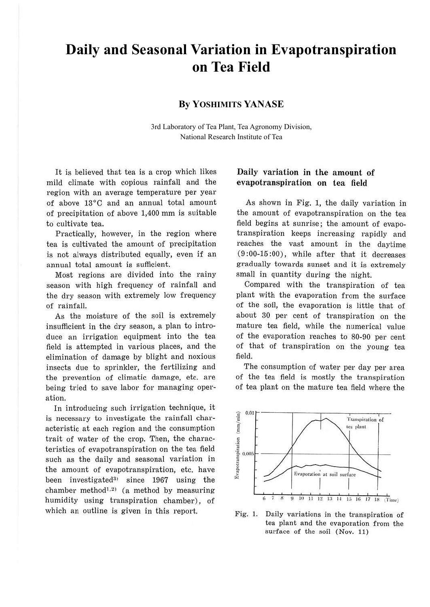# **Daily and Seasonal Variation in Evapotranspiration on Tea Field**

## **By YOSHIMITS YANASE**

3rd Laboratory of Tea Plant, Tea Agronomy Division, National Research Institute of Tea

It is believed that tea is a crop which likes mild climate with copious rainfall and the region with an average temperature per year of above 13°C and an annual total amount of precipitation of above 1,400 mm is suitable to cultivate tea.

Practically, however, in the region where tea is cultivated the amount of precipitation is not always distributed equally, even if an annual total amount is sufficient.

Most regions are divided into the rainy season with high frequency of rainfall and the dry season with extremely low frequency of rainfall.

As the moisture of the soil is extremely insufficient in the dry season, a plan to introduce an irrigation equipment into the tea field is attempted in various places, and the elimination of damage by blight and noxious insects due to sprinkler, the fertilizing and the prevention of climatic damage, etc. are being tried to save labor for managing operation.

In introducing such irrigation technique, it is necessary to investigate the rainfall characteristic at each region and the consumption trait of water of the crop. Then, the characteristics of evapotranspiration on the tea field such as the daily and seasonal variation in the amount of evapotranspiration, etc. have been investigated<sup>3</sup> since 1967 using the chamber method<sup>1,2)</sup> (a method by measuring humidity using transpiration chamber), of which an outline is given in this report.

# **Daily variation in the amount of evapotranspiration on tea field**

As shown in Fig. 1, the daily variation in the amount of evapotranspiration on the tea field begins at sunrise; the amount of evapotranspiration keeps increasing rapidly and reaches the vast amount in the daytime (9 :00-15 :00), while after that it decreases gradually towards sunset and it is extremely small in quantity during the night.

Compared with the transpiration of tea plant with the evaporation from the surface of the soil, the evaporation is little that of about 30 per cent of transpiration on the mature tea field, while the numerical value of the evaporation reaches to 80-90 per cent of that of transpiration on the young tea field.

The consumption of water per day per area of the tea field is mostly the transpiration of tea plant on the mature tea field where the



Fig. 1. Daily variations in the transpiration of tea plant and the evaporation from the surface of the soil (Nov. 11)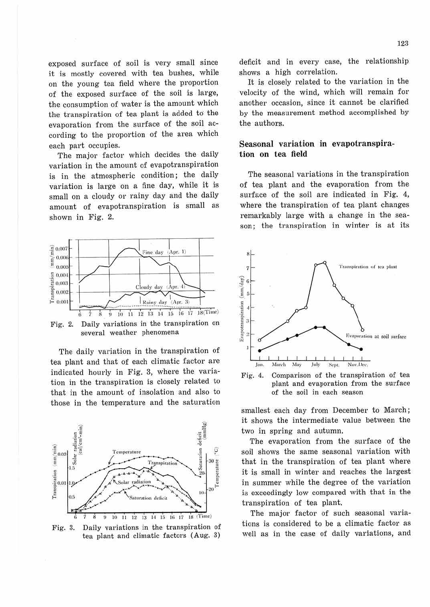exposed surface of soil is very small since it is mostly covered with tea bushes, while on the young tea field where the proportion of the exposed surface of the soil is large, the consumption of water is the amount which the transpiration of tea plant is added to the evaporation from the surface of the soil according to the proportion of the area which each part occupies.

The major factor which decides the daily variation in the amount of evapotranspiration is in the atmospheric condition; the daily variation is large on a fine day, while it is small on a cloudy or rainy day and the daily amount of evapotranspiration is small as shown in Fig. 2.



Fig. 2. Daily variations in the transpiration on several weather phenomena

The daily variation in the transpiration of tea plant and that of each climatic factor are indicated hourly in Fig. 3, where the variation in the transpiration is closely related to that in the amount of insolation and also to those in the temperature and the saturation



Fig. 3. Daily variations in the transpiration of tea plant and climatic factors (Aug. 3)

deficit and in every case, the relationship shows a high correlation.

It is closely related to the variation in the velocity of the wind, which will remain for another occasion, since it cannot be clarified by the measurement method accomplished by the authors.

# **Seasonal variation in evapotranspiration on tea field**

The seasonal variations in the transpiration of tea plant and the evaporation from the surface of the soil are indicated in Fig. 4, where the transpiration of tea plant changes remarkably large with a change in the season; the transpiration in winter is at its



Fig. 4. Comparison of the transpiration of tea plant and evaporation from the surface of the soil in each season

smallest each day from December to March; it shows the intermediate value between the two in spring and autumn.

The evaporation from the surface of the soil shows the same seasonal variation with that in the transpiration of tea plant where it is small in winter and reaches the largest in summer while the degree of the variation is exceedingly low compared with that in the transpiration of tea plant.

The major factor of such seasonal variations is considered to be a climatic factor as well as in the case of daily variations, and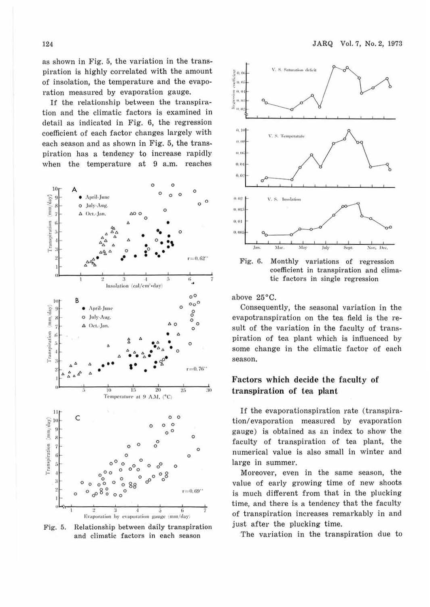as shown in Fig. 5, the variation in the transpiration is highly correlated with the amount of insolation, the temperature and the evaporation measured by evaporation gauge.

If the relationship between the transpiration and the climatic factors is examined in detail as indicated in Fig. 6, the regression coefficient of each factor changes largely with each season and as shown in Fig. 5, the transpiration has a tendency to increase rapidly when the temperature at 9 a.m. reaches



Relationship between daily transpiration Fig. 5. and climatic factors in each season



Fig. 6. Monthly variations of regression coefficient in transpiration and climatic factors in single regression

above 25°C.

Consequently, the seasonal variation in the evapotranspiration on the tea field is the result of the variation in the faculty of transpiration of tea plant which is influenced by some change in the climatic factor of each season.

### Factors which decide the faculty of transpiration of tea plant

If the evaporationspiration rate (transpiration/evaporation measured by evaporation gauge) is obtained as an index to show the faculty of transpiration of tea plant, the numerical value is also small in winter and large in summer.

Moreover, even in the same season, the value of early growing time of new shoots is much different from that in the plucking time, and there is a tendency that the faculty of transpiration increases remarkably in and just after the plucking time.

The variation in the transpiration due to